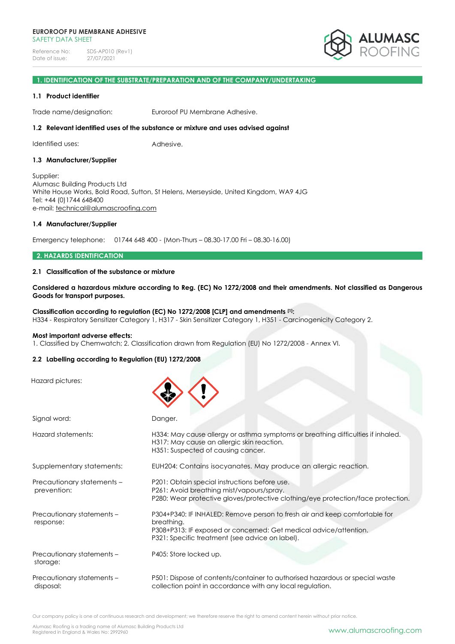

# **1. IDENTIFICATION OF THE SUBSTRATE/PREPARATION AND OF THE COMPANY/UNDERTAKING**

### **1.1 Product identifier**

Trade name/designation: Euroroof PU Membrane Adhesive.

### **1.2 Relevant identified uses of the substance or mixture and uses advised against**

Identified uses: Adhesive.

### **1.3 Manufacturer/Supplier**

Supplier: Alumasc Building Products Ltd White House Works, Bold Road, Sutton, St Helens, Merseyside, United Kingdom, WA9 4JG Tel: +44 (0)1744 648400 e-mail: [technical@alumascroofing.com](mailto:technical@alumascroofing.com)

#### **1.4 Manufacturer/Supplier**

Emergency telephone: 01744 648 400 - (Mon-Thurs – 08.30-17.00 Fri – 08.30-16.00)

### **2. HAZARDS IDENTIFICATION**

### **2.1 Classification of the substance or mixture**

Considered a hazardous mixture according to Reg. (EC) No 1272/2008 and their amendments. Not classified as Dangerous **Goods for transport purposes.**

**Classification according to regulation (EC) No 1272/2008 [CLP] and amendments [1]:** H334 - Respiratory Sensitizer Category 1, H317 - Skin Sensitizer Category 1, H351 - Carcinogenicity Category 2.

#### **Most important adverse effects:**

1. Classified by Chemwatch; 2. Classification drawn from Regulation (EU) No 1272/2008 - Annex VI.

### **2.2 Labelling according to Regulation (EU) 1272/2008**

Hazard pictures:

| Signal word:                              | Danger.                                                                                                                                                                                                          |
|-------------------------------------------|------------------------------------------------------------------------------------------------------------------------------------------------------------------------------------------------------------------|
| Hazard statements:                        | H334: May cause allergy or asthma symptoms or breathing difficulties if inhaled.<br>H317: May cause an allergic skin reaction.<br>H351: Suspected of causing cancer.                                             |
| Supplementary statements:                 | EUH204: Contains isocyanates. May produce an allergic reaction.                                                                                                                                                  |
| Precautionary statements -<br>prevention: | P201: Obtain special instructions before use.<br>P261: Avoid breathing mist/vapours/spray.<br>P280: Wear protective gloves/protective clothing/eye protection/face protection.                                   |
| Precautionary statements -<br>response:   | P304+P340: IF INHALED: Remove person to fresh air and keep comfortable for<br>breathing.<br>P308+P313: IF exposed or concerned: Get medical advice/attention.<br>P321: Specific treatment (see advice on label). |
| Precautionary statements -<br>storage:    | P405: Store locked up.                                                                                                                                                                                           |
| Precautionary statements -<br>disposal:   | P501: Dispose of contents/container to authorised hazardous or special waste<br>collection point in accordance with any local regulation.                                                                        |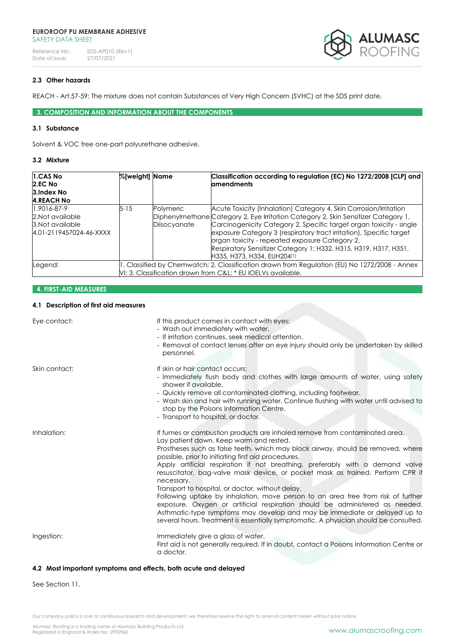Reference No: SDS-AP010 (Rev1)<br>Date of issue: 27/07/2021 Date of issue:



# **2.3 Other hazards**

REACH - Art.57-59: The mixture does not contain Substances of Very High Concern (SVHC) at the SDS print date.

**3. COMPOSITION AND INFORMATION ABOUT THE COMPONENTS**

### **3.1 Substance**

Solvent & VOC free one-part polyurethane adhesive.

# **3.2 Mixture**

| 1.CAS No                                    | %[weight] Name |              | Classification according to regulation (EC) No 1272/2008 [CLP] and                                                                                                                                                                                                                              |
|---------------------------------------------|----------------|--------------|-------------------------------------------------------------------------------------------------------------------------------------------------------------------------------------------------------------------------------------------------------------------------------------------------|
| 2.EC No                                     |                |              | <b>amendments</b>                                                                                                                                                                                                                                                                               |
| 3.Index No                                  |                |              |                                                                                                                                                                                                                                                                                                 |
| <b>4.REACH No</b>                           |                |              |                                                                                                                                                                                                                                                                                                 |
| 1.9016-87-9                                 | $5 - 15$       | Polymeric    | Acute Toxicity (Inhalation) Category 4, Skin Corrosion/Irritation                                                                                                                                                                                                                               |
| 2. Not available                            |                |              | Diphenylmethane Category 2, Eye Irritation Category 2, Skin Sensitizer Category 1,                                                                                                                                                                                                              |
| 3. Not available<br>4.01-2119457024-46-XXXX |                | Diisocyanate | Carcinogenicity Category 2, Specific target organ toxicity - single<br>exposure Category 3 (respiratory tract irritation), Specific target<br>organ toxicity - repeated exposure Category 2,<br>Respiratory Sensitizer Category 1; H332, H315, H319, H317, H351,<br>H335, H373, H334, EUH204[1] |
| Legend:                                     |                |              | 1. Classified by Chemwatch; 2. Classification drawn from Regulation (EU) No 1272/2008 - Annex<br>VI; 3. Classification drawn from C&L * EU IOELVs available.                                                                                                                                    |

# **4. FIRST-AID MEASURES**

# **4.1 Description of first aid measures**

| Eye contact:  | If this product comes in contact with eyes:<br>- Wash out immediately with water.<br>- If irritation continues, seek medical attention.<br>- Removal of contact lenses after an eye injury should only be undertaken by skilled<br>personnel.                                                                                                                                                                                                                                                                                                                                                                                                                                                                                                                                                                                                   |
|---------------|-------------------------------------------------------------------------------------------------------------------------------------------------------------------------------------------------------------------------------------------------------------------------------------------------------------------------------------------------------------------------------------------------------------------------------------------------------------------------------------------------------------------------------------------------------------------------------------------------------------------------------------------------------------------------------------------------------------------------------------------------------------------------------------------------------------------------------------------------|
| Skin contact: | If skin or hair contact occurs:<br>- Immediately flush body and clothes with large amounts of water, using safety<br>shower if available.<br>- Quickly remove all contaminated clothing, including footwear.<br>- Wash skin and hair with running water. Continue flushing with water until advised to<br>stop by the Poisons Information Centre.<br>- Transport to hospital, or doctor.                                                                                                                                                                                                                                                                                                                                                                                                                                                        |
| Inhalation:   | If fumes or combustion products are inhaled remove from contaminated area.<br>Lay patient down. Keep warm and rested.<br>Prostheses such as false teeth, which may block airway, should be removed, where<br>possible, prior to initiating first aid procedures.<br>Apply artificial respiration if not breathing, preferably with a demand valve<br>resuscitator, bag-valve mask device, or pocket mask as trained. Perform CPR if<br>necessary.<br>Transport to hospital, or doctor, without delay.<br>Following uptake by inhalation, move person to an area free from risk of further<br>exposure. Oxygen or artificial respiration should be administered as needed.<br>Asthmatic-type symptoms may develop and may be immediate or delayed up to<br>several hours. Treatment is essentially symptomatic. A physician should be consulted. |
| Ingestion:    | Immediately give a glass of water.<br>First aid is not generally required. If in doubt, contact a Poisons Information Centre or<br>a doctor.                                                                                                                                                                                                                                                                                                                                                                                                                                                                                                                                                                                                                                                                                                    |

# **4.2 Most important symptoms and effects, both acute and delayed**

See Section 11.

Our company policy is one of continuous research and development; we therefore reserve the right to amend content herein without prior notice.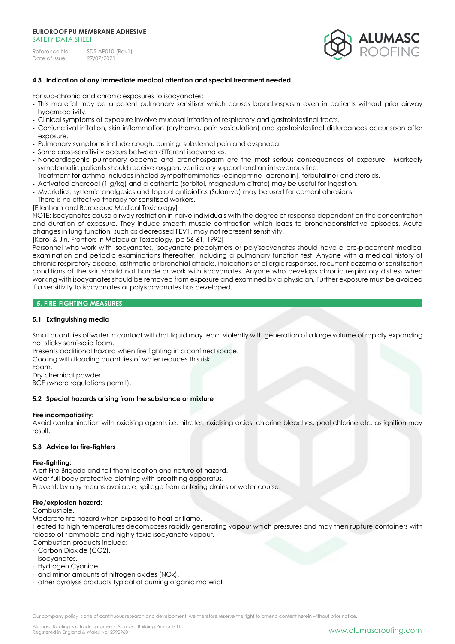| Reference No:  | SDS-AP010 (Rev1) |
|----------------|------------------|
| Date of issue: | 27/07/2021       |



## **4.3 Indication of any immediate medical attention and special treatment needed**

For sub-chronic and chronic exposures to isocyanates:

- This material may be a potent pulmonary sensitiser which causes bronchospasm even in patients without prior airway hyperreactivity.
- Clinical symptoms of exposure involve mucosal irritation of respiratory and gastrointestinal tracts.
- Conjunctival irritation, skin inflammation (erythema, pain vesiculation) and gastrointestinal disturbances occur soon after exposure.
- Pulmonary symptoms include cough, burning, substernal pain and dyspnoea.
- Some cross-sensitivity occurs between different isocyanates.
- Noncardiogenic pulmonary oedema and bronchospasm are the most serious consequences of exposure. Markedly symptomatic patients should receive oxygen, ventilatory support and an intravenous line.
- Treatment for asthma includes inhaled sympathomimetics (epinephrine [adrenalin], terbutaline) and steroids.
- Activated charcoal (1 g/kg) and a cathartic (sorbitol, magnesium citrate) may be useful for ingestion.
- Mydriatics, systemic analgesics and topical antibiotics (Sulamyd) may be used for corneal abrasions.
- There is no effective therapy for sensitised workers.
- [Ellenhorn and Barceloux; Medical Toxicology]

NOTE: Isocyanates cause airway restriction in naive individuals with the degree of response dependant on the concentration and duration of exposure. They induce smooth muscle contraction which leads to bronchoconstrictive episodes. Acute changes in lung function, such as decreased FEV1, may not represent sensitivity.

[Karol & Jin, Frontiers in Molecular Toxicology, pp 56-61, 1992]

Personnel who work with isocyanates, isocyanate prepolymers or polyisocyanates should have a pre-placement medical examination and periodic examinations thereafter, including a pulmonary function test. Anyone with a medical history of chronic respiratory disease, asthmatic or bronchial attacks, indications of allergic responses, recurrent eczema or sensitisation conditions of the skin should not handle or work with isocyanates. Anyone who develops chronic respiratory distress when working with isocyanates should be removed from exposure and examined by a physician. Further exposure must be avoided if a sensitivity to isocyanates or polyisocyanates has developed.

# **5. FIRE-FIGHTING MEASURES**

# **5.1 Extinguishing media**

Small quantities of water in contact with hot liquid may react violently with generation of a large volume of rapidly expanding hot sticky semi-solid foam.

Presents additional hazard when fire fighting in a confined space.

Cooling with flooding quantities of water reduces this risk.

Foam.

Dry chemical powder.

BCF (where regulations permit).

### **5.2 Special hazards arising from the substance or mixture**

### **Fire incompatibility:**

Avoid contamination with oxidising agents i.e. nitrates, oxidising acids, chlorine bleaches, pool chlorine etc. as ignition may result.

### **5.3 Advice for fire-fighters**

#### **Fire-fighting:**

Alert Fire Brigade and tell them location and nature of hazard. Wear full body protective clothing with breathing apparatus. Prevent, by any means available, spillage from entering drains or water course.

### **Fire/explosion hazard:**

#### Combustible.

Moderate fire hazard when exposed to heat or flame.

Heated to high temperatures decomposes rapidly generating vapour which pressures and may then rupture containers with release of flammable and highly toxic isocyanate vapour.

Combustion products include:

- Carbon Dioxide (CO2).
- Isocyanates.
- Hydrogen Cyanide.
- and minor amounts of nitrogen oxides (NOx).
- other pyrolysis products typical of burning organic material.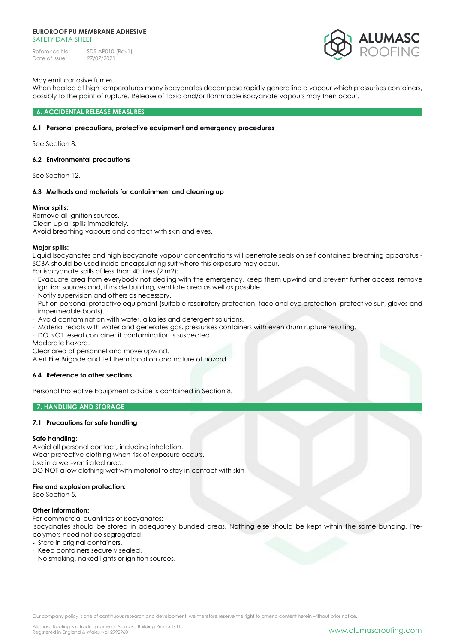Reference No: SDS-AP010 (Rev1)<br>Date of issue: 27/07/2021 Date of issue:



## May emit corrosive fumes.

When heated at high temperatures many isocyanates decompose rapidly generating a vapour which pressurises containers, possibly to the point of rupture. Release of toxic and/or flammable isocyanate vapours may then occur.

### **6. ACCIDENTAL RELEASE MEASURES**

### **6.1 Personal precautions, protective equipment and emergency procedures**

See Section 8.

### **6.2 Environmental precautions**

See Section 12.

### **6.3 Methods and materials for containment and cleaning up**

### **Minor spills:**

Remove all ignition sources. Clean up all spills immediately. Avoid breathing vapours and contact with skin and eyes.

### **Major spills:**

Liquid Isocyanates and high isocyanate vapour concentrations will penetrate seals on self contained breathing apparatus - SCBA should be used inside encapsulating suit where this exposure may occur.

For isocyanate spills of less than 40 litres (2 m2):

- Evacuate area from everybody not dealing with the emergency, keep them upwind and prevent further access, remove ignition sources and, if inside building, ventilate area as well as possible.
- Notify supervision and others as necessary.
- Put on personal protective equipment (suitable respiratory protection, face and eye protection, protective suit, gloves and impermeable boots).
- Avoid contamination with water, alkalies and detergent solutions.
- Material reacts with water and generates gas, pressurises containers with even drum rupture resulting.
- DO NOT reseal container if contamination is suspected.
- Moderate hazard.

Clear area of personnel and move upwind.

Alert Fire Brigade and tell them location and nature of hazard.

### **6.4 Reference to other sections**

Personal Protective Equipment advice is contained in Section 8.

### **7. HANDLING AND STORAGE**

### **7.1 Precautions for safe handling**

### **Safe handling:**

Avoid all personal contact, including inhalation. Wear protective clothing when risk of exposure occurs. Use in a well-ventilated area. DO NOT allow clothing wet with material to stay in contact with skin

### **Fire and explosion protection:**

See Section 5.

### **Other information:**

For commercial quantities of isocyanates: Isocyanates should be stored in adequately bunded areas. Nothing else should be kept within the same bunding. Prepolymers need not be segregated.

- Store in original containers.
- Keep containers securely sealed.
- No smoking, naked lights or ignition sources.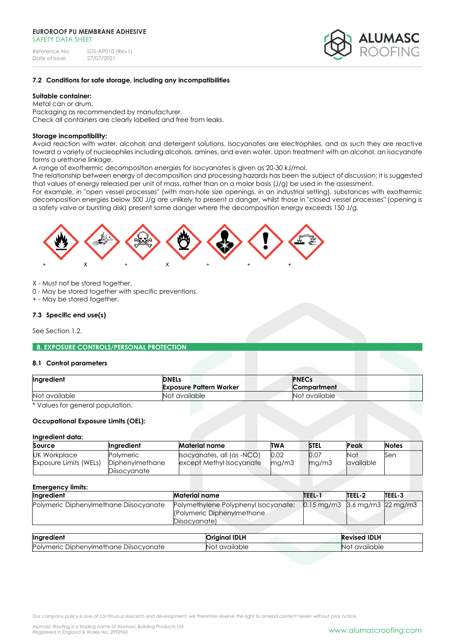

### **7.2 Conditions for safe storage, including any incompatibilities**

# **Suitable container:**

Metal can or drum. Packaging as recommended by manufacturer. Check all containers are clearly labelled and free from leaks.

### **Storage incompatibility:**

Avoid reaction with water, alcohols and detergent solutions. Isocyanates are electrophiles, and as such they are reactive toward a variety of nucleophiles including alcohols, amines, and even water. Upon treatment with an alcohol, an isocyanate forms a urethane linkage.

A range of exothermic decomposition energies for isocyanates is given as 20-30 kJ/mol.

The relationship between energy of decomposition and processing hazards has been the subject of discussion; it is suggested that values of energy released per unit of mass, rather than on a molar basis (J/g) be used in the assessment.

For example, in "open vessel processes" (with man-hole size openings, in an industrial setting), substances with exothermic decomposition energies below 500 J/g are unlikely to present a danger, whilst those in "closed vessel processes" (opening is a safety valve or bursting disk) present some danger where the decomposition energy exceeds 150 J/g.



X - Must not be stored together.

0 - May be stored together with specific preventions.

+ - May be stored together.

# **7.3 Specific end use(s)**

See Section 1.2.

**8. EXPOSURE CONTROLS/PERSONAL PROTECTION**

### **8.1 Control parameters**

| Ingredient    | <b>DNELs</b><br><b>Exposure Pattern Worker</b> | <b>PNECs</b><br><b>Compartment</b> |
|---------------|------------------------------------------------|------------------------------------|
| Not available | Not available                                  | Not available                      |

\* Values for general population.

# **Occupational Exposure Limits (OEL):**

### **Ingredient data:**

| Source                        | <b>Inaredient</b>               | Material name             | <b>TWA</b> | <b>STEL</b> | Peak      | <b>Notes</b> |
|-------------------------------|---------------------------------|---------------------------|------------|-------------|-----------|--------------|
| <b>UK Workplace</b>           | Polvmeric                       | socyanates, all (as -NCO) |            | 0.07        | Not       | Sen          |
| <b>Exposure Limits (WELs)</b> | Diphenylmethane<br>Diisocvanate | except Methyl Isocyanate  | mq/m3      | mg/m3       | available |              |

| <b>Emergency limits:</b>               |                                                                                      |                                                     |        |               |  |
|----------------------------------------|--------------------------------------------------------------------------------------|-----------------------------------------------------|--------|---------------|--|
| Ingredient                             | <b>Material name</b>                                                                 | <b>TEEL-1</b>                                       | TEEL-2 | <b>TEEL-3</b> |  |
| Polymeric Diphenylmethane Diisocyanate | Polymethylene Polyphenyl Isocyanate;<br>(Polymeric Diphenylmethane)<br>Diisocvanate) | $0.15 \,\mathrm{mg/m}$ 3.6 mg/m $3\,$ 22 mg/m $3\,$ |        |               |  |

| Ingredient                                         | <b>Original IDLH</b> | <b>Revised IDLH</b> |
|----------------------------------------------------|----------------------|---------------------|
| Polymeric<br>: Diisocvanate<br>: Diphenvlmethane : | available<br>NO)     | available<br>NO)    |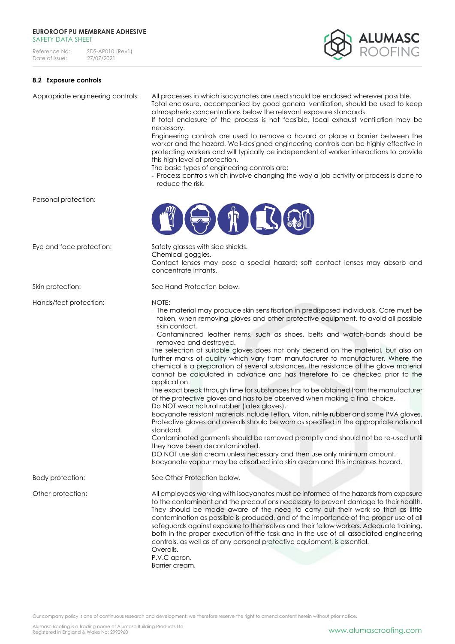Reference No: SDS-AP010 (Rev1)<br>Date of issue: 27/07/2021 Date of issue:



# **8.2 Exposure controls**

|                          | Engineering controls are used to remove a hazard or place a barrier between the<br>worker and the hazard. Well-designed engineering controls can be highly effective in<br>protecting workers and will typically be independent of worker interactions to provide<br>this high level of protection.<br>The basic types of engineering controls are:<br>- Process controls which involve changing the way a job activity or process is done to<br>reduce the risk.                                                                                                                                                                                                                                                                                                                                                                                                                                                                                                                                                                                                                                                                                                                                                                                                                                                                                                                              |
|--------------------------|------------------------------------------------------------------------------------------------------------------------------------------------------------------------------------------------------------------------------------------------------------------------------------------------------------------------------------------------------------------------------------------------------------------------------------------------------------------------------------------------------------------------------------------------------------------------------------------------------------------------------------------------------------------------------------------------------------------------------------------------------------------------------------------------------------------------------------------------------------------------------------------------------------------------------------------------------------------------------------------------------------------------------------------------------------------------------------------------------------------------------------------------------------------------------------------------------------------------------------------------------------------------------------------------------------------------------------------------------------------------------------------------|
| Personal protection:     |                                                                                                                                                                                                                                                                                                                                                                                                                                                                                                                                                                                                                                                                                                                                                                                                                                                                                                                                                                                                                                                                                                                                                                                                                                                                                                                                                                                                |
| Eye and face protection: | Safety glasses with side shields.<br>Chemical goggles.<br>Contact lenses may pose a special hazard; soft contact lenses may absorb and<br>concentrate irritants.                                                                                                                                                                                                                                                                                                                                                                                                                                                                                                                                                                                                                                                                                                                                                                                                                                                                                                                                                                                                                                                                                                                                                                                                                               |
| Skin protection:         | See Hand Protection below.                                                                                                                                                                                                                                                                                                                                                                                                                                                                                                                                                                                                                                                                                                                                                                                                                                                                                                                                                                                                                                                                                                                                                                                                                                                                                                                                                                     |
| Hands/feet protection:   | NOTE:<br>- The material may produce skin sensitisation in predisposed individuals. Care must be<br>taken, when removing gloves and other protective equipment, to avoid all possible<br>skin contact.<br>- Contaminated leather items, such as shoes, belts and watch-bands should be<br>removed and destroyed.<br>The selection of suitable gloves does not only depend on the material, but also on<br>further marks of quality which vary from manufacturer to manufacturer. Where the<br>chemical is a preparation of several substances, the resistance of the glove material<br>cannot be calculated in advance and has therefore to be checked prior to the<br>application.<br>The exact break through time for substances has to be obtained from the manufacturer<br>of the protective gloves and has to be observed when making a final choice.<br>Do NOT wear natural rubber (latex gloves).<br>Isocyanate resistant materials include Teflon, Viton, nitrile rubber and some PVA gloves.<br>Protective gloves and overalls should be worn as specified in the appropriate nationall<br>standard.<br>Contaminated garments should be removed promptly and should not be re-used until<br>they have been decontaminated.<br>DO NOT use skin cream unless necessary and then use only minimum amount.<br>Isocyanate vapour may be absorbed into skin cream and this increases hazard. |
| Body protection:         | See Other Protection below.                                                                                                                                                                                                                                                                                                                                                                                                                                                                                                                                                                                                                                                                                                                                                                                                                                                                                                                                                                                                                                                                                                                                                                                                                                                                                                                                                                    |
| Other protection:        | All employees working with isocyanates must be informed of the hazards from exposure<br>to the contaminant and the precautions necessary to prevent damage to their health.<br>They should be made aware of the need to carry out their work so that as little<br>contamination as possible is produced, and of the importance of the proper use of all<br>safeguards against exposure to themselves and their fellow workers. Adequate training,<br>both in the proper execution of the task and in the use of all associated engineering<br>controls, as well as of any personal protective equipment, is essential.<br>Overalls.<br>P.V.C apron.<br>Barrier cream.                                                                                                                                                                                                                                                                                                                                                                                                                                                                                                                                                                                                                                                                                                                          |

Appropriate engineering controls: All processes in which isocyanates are used should be enclosed wherever possible.

necessary.

Total enclosure, accompanied by good general ventilation, should be used to keep

If total enclosure of the process is not feasible, local exhaust ventilation may be

atmospheric concentrations below the relevant exposure standards.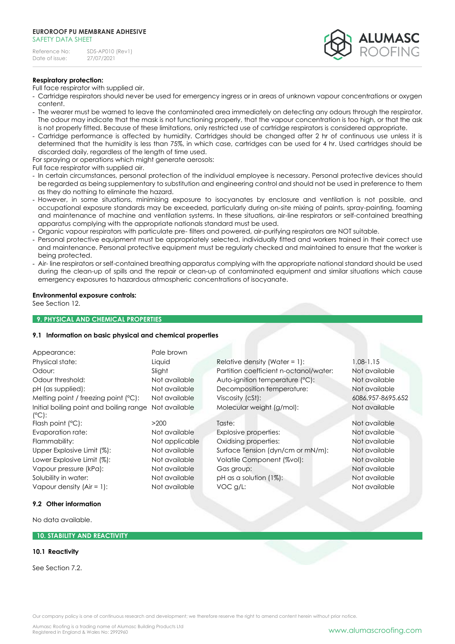

# **Respiratory protection:**

Full face respirator with supplied air.

- Cartridge respirators should never be used for emergency ingress or in areas of unknown vapour concentrations or oxygen content.
- The wearer must be warned to leave the contaminated area immediately on detecting any odours through the respirator. The odour may indicate that the mask is not functioning properly, that the vapour concentration is too high, or that the ask is not properly fitted. Because of these limitations, only restricted use of cartridge respirators is considered appropriate.
- Cartridge performance is affected by humidity. Cartridges should be changed after 2 hr of continuous use unless it is determined that the humidity is less than 75%, in which case, cartridges can be used for 4 hr. Used cartridges should be discarded daily, regardless of the length of time used.

For spraying or operations which might generate aerosols:

Full face respirator with supplied air.

- In certain circumstances, personal protection of the individual employee is necessary. Personal protective devices should be regarded as being supplementary to substitution and engineering control and should not be used in preference to them as they do nothing to eliminate the hazard.
- However, in some situations, minimising exposure to isocyanates by enclosure and ventilation is not possible, and occupational exposure standards may be exceeded, particularly during on-site mixing of paints, spray-painting, foaming and maintenance of machine and ventilation systems. In these situations, air-line respirators or self-contained breathing apparatus complying with the appropriate nationals standard must be used.
- Organic vapour respirators with particulate pre- filters and powered, air-purifying respirators are NOT suitable.
- Personal protective equipment must be appropriately selected, individually fitted and workers trained in their correct use and maintenance. Personal protective equipment must be regularly checked and maintained to ensure that the worker is being protected.
- Air- line respirators or self-contained breathing apparatus complying with the appropriate national standard should be used during the clean-up of spills and the repair or clean-up of contaminated equipment and similar situations which cause emergency exposures to hazardous atmospheric concentrations of isocyanate.

# **Environmental exposure controls:**

See Section 12.

# **9. PHYSICAL AND CHEMICAL PROPERTIES**

### **9.1 Information on basic physical and chemical properties**

| Appearance:                                                | Pale brown     |                                        |                   |
|------------------------------------------------------------|----------------|----------------------------------------|-------------------|
| Physical state:                                            | Liquid         | Relative density (Water = $1$ ):       | $1.08 - 1.15$     |
| Odour:                                                     | Slight         | Partition coefficient n-octanol/water: | Not available     |
| Odour threshold:                                           | Not available  | Auto-ignition temperature (°C):        | Not available     |
| pH (as supplied):                                          | Not available  | Decomposition temperature:             | Not available     |
| Melting point / freezing point (°C):                       | Not available  | Viscosity (cSt):                       | 6086.957-8695.652 |
| Initial boiling point and boiling range<br>$(^{\circ}C)$ : | Not available  | Molecular weight (g/mol):              | Not available     |
| Flash point $(°C)$ :                                       | >200           | Taste:                                 | Not available     |
| Evaporation rate:                                          | Not available  | Explosive properties:                  | Not available     |
| Flammability:                                              | Not applicable | Oxidising properties:                  | Not available     |
| Upper Explosive Limit (%):                                 | Not available  | Surface Tension (dyn/cm or mN/m):      | Not available     |
| Lower Explosive Limit (%):                                 | Not available  | Volatile Component (%vol):             | Not available     |

Vapour pressure (kPa): Not available Gas group: Not available Solubility in water: Not available pH as a solution (1%): Not available not available bH as a solution (1%): Vapour density (Air = 1): Not available VOC g/L: Not available Not available Not available Not available Not available

# **9.2 Other information**

No data available.

### **10. STABILITY AND REACTIVITY**

### **10.1 Reactivity**

See Section 7.2.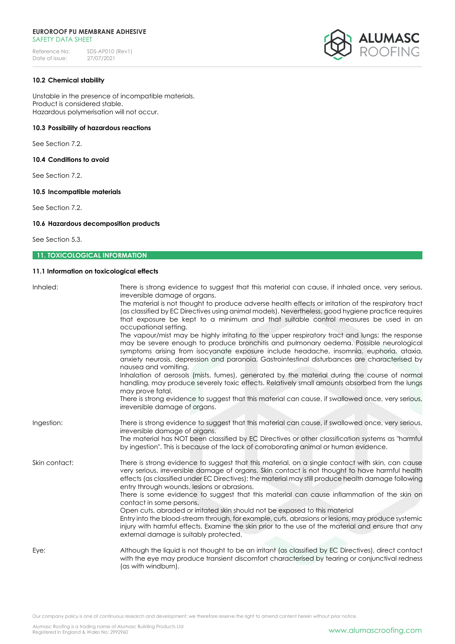

### **10.2 Chemical stability**

Unstable in the presence of incompatible materials. Product is considered stable. Hazardous polymerisation will not occur.

# **10.3 Possibility of hazardous reactions**

See Section 7.2.

**10.4 Conditions to avoid**

See Section 7.2.

### **10.5 Incompatible materials**

See Section 7.2.

# **10.6 Hazardous decomposition products**

See Section 5.3.

# **11. TOXICOLOGICAL INFORMATION**

# **11.1 Information on toxicological effects**

| Inhaled:      | There is strong evidence to suggest that this material can cause, if inhaled once, very serious,<br>irreversible damage of organs.<br>The material is not thought to produce adverse health effects or irritation of the respiratory tract<br>(as classified by EC Directives using animal models). Nevertheless, good hygiene practice requires<br>that exposure be kept to a minimum and that suitable control measures be used in an<br>occupational setting.<br>The vapour/mist may be highly irritating to the upper respiratory tract and lungs; the response<br>may be severe enough to produce bronchitis and pulmonary oedema. Possible neurological<br>symptoms arising from isocyanate exposure include headache, insomnia, euphoria, ataxia,<br>anxiety neurosis, depression and paranoia. Gastrointestinal disturbances are characterised by<br>nausea and vomiting.<br>Inhalation of aerosols (mists, fumes), generated by the material during the course of normal<br>handling, may produce severely toxic effects. Relatively small amounts absorbed from the lungs<br>may prove fatal.<br>There is strong evidence to suggest that this material can cause, if swallowed once, very serious,<br>irreversible damage of organs. |
|---------------|-------------------------------------------------------------------------------------------------------------------------------------------------------------------------------------------------------------------------------------------------------------------------------------------------------------------------------------------------------------------------------------------------------------------------------------------------------------------------------------------------------------------------------------------------------------------------------------------------------------------------------------------------------------------------------------------------------------------------------------------------------------------------------------------------------------------------------------------------------------------------------------------------------------------------------------------------------------------------------------------------------------------------------------------------------------------------------------------------------------------------------------------------------------------------------------------------------------------------------------------------|
| Ingestion:    | There is strong evidence to suggest that this material can cause, if swallowed once, very serious,<br>irreversible damage of organs.<br>The material has NOT been classified by EC Directives or other classification systems as "harmful<br>by ingestion". This is because of the lack of corroborating animal or human evidence.                                                                                                                                                                                                                                                                                                                                                                                                                                                                                                                                                                                                                                                                                                                                                                                                                                                                                                              |
| Skin contact: | There is strong evidence to suggest that this material, on a single contact with skin, can cause<br>very serious, irreversible damage of organs. Skin contact is not thought to have harmful health<br>effects (as classified under EC Directives); the material may still produce health damage following<br>entry through wounds, lesions or abrasions.<br>There is some evidence to suggest that this material can cause inflammation of the skin on<br>contact in some persons.<br>Open cuts, abraded or irritated skin should not be exposed to this material<br>Entry into the blood-stream through, for example, cuts, abrasions or lesions, may produce systemic<br>injury with harmful effects. Examine the skin prior to the use of the material and ensure that any<br>external damage is suitably protected.                                                                                                                                                                                                                                                                                                                                                                                                                        |
| Eye:          | Although the liquid is not thought to be an irritant (as classified by EC Directives), direct contact<br>with the eye may produce transient discomfort characterised by tearing or conjunctival redness<br>(as with windburn).                                                                                                                                                                                                                                                                                                                                                                                                                                                                                                                                                                                                                                                                                                                                                                                                                                                                                                                                                                                                                  |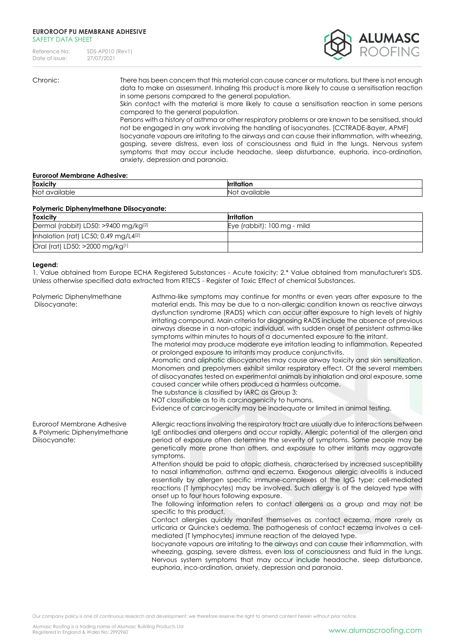Reference No: SDS-AP010 (Rev1)<br>Date of issue: 27/07/2021 Date of issue:



Chronic: There has been concern that this material can cause cancer or mutations, but there is not enough data to make an assessment. Inhaling this product is more likely to cause a sensitisation reaction in some persons compared to the general population.

Skin contact with the material is more likely to cause a sensitisation reaction in some persons compared to the general population.

Persons with a history of asthma or other respiratory problems or are known to be sensitised, should not be engaged in any work involving the handling of isocyanates. [CCTRADE-Bayer, APMF] Isocyanate vapours are irritating to the airways and can cause their inflammation, with wheezing, gasping, severe distress, even loss of consciousness and fluid in the lungs. Nervous system symptoms that may occur include headache, sleep disturbance, euphoria, inco-ordination, anxiety, depression and paranoia.

### **Euroroof Membrane Adhesive:**

| Toxicity                                         |                      |
|--------------------------------------------------|----------------------|
| $\cdots$<br><b>Not</b><br>zailable<br><b>avo</b> | ำble<br>$\mathbf{v}$ |

### **Polymeric Diphenylmethane Diisocyanate:**

| <b>Toxicity</b>                         | <b>Irritation</b>           |
|-----------------------------------------|-----------------------------|
| Dermal (rabbit) LD50: >9400 mg/kg $[2]$ | Eye (rabbit): 100 mg - mild |
| Inhalation (rat) LC50; 0.49 mg/L4 $[2]$ |                             |
| Oral (rat) LD50; >2000 mg/kg[1]         |                             |

## **Legend:**

1. Value obtained from Europe ECHA Registered Substances - Acute toxicity; 2.\* Value obtained from manufacturer's SDS. Unless otherwise specified data extracted from RTECS - Register of Toxic Effect of chemical Substances.

| Polymeric Diphenylmethane<br>Diisocyanate:                                 | Asthma-like symptoms may continue for months or even years after exposure to the<br>material ends. This may be due to a non-allergic condition known as reactive airways<br>dysfunction syndrome (RADS) which can occur after exposure to high levels of highly<br>irritating compound. Main criteria for diagnosing RADS include the absence of previous<br>airways disease in a non-atopic individual, with sudden onset of persistent asthma-like<br>symptoms within minutes to hours of a documented exposure to the irritant.<br>The material may produce moderate eye irritation leading to inflammation. Repeated<br>or prolonged exposure to irritants may produce conjunctivitis.<br>Aromatic and aliphatic diisocyanates may cause airway toxicity and skin sensitization.<br>Monomers and prepolymers exhibit similar respiratory effect. Of the several members<br>of diisocyanates tested on experimental animals by inhalation and oral exposure, some<br>caused cancer while others produced a harmless outcome.<br>The substance is classified by IARC as Group 3:<br>NOT classifiable as to its carcinogenicity to humans.<br>Evidence of carcinogenicity may be inadequate or limited in animal testing.                                                                                                                                                                                                                                                        |
|----------------------------------------------------------------------------|-----------------------------------------------------------------------------------------------------------------------------------------------------------------------------------------------------------------------------------------------------------------------------------------------------------------------------------------------------------------------------------------------------------------------------------------------------------------------------------------------------------------------------------------------------------------------------------------------------------------------------------------------------------------------------------------------------------------------------------------------------------------------------------------------------------------------------------------------------------------------------------------------------------------------------------------------------------------------------------------------------------------------------------------------------------------------------------------------------------------------------------------------------------------------------------------------------------------------------------------------------------------------------------------------------------------------------------------------------------------------------------------------------------------------------------------------------------------------------------|
| Euroroof Membrane Adhesive<br>& Polymeric Diphenylmethane<br>Diisocyanate: | Allergic reactions involving the respiratory tract are usually due to interactions between<br>IgE antibodies and allergens and occur rapidly. Allergic potential of the allergen and<br>period of exposure often determine the severity of symptoms. Some people may be<br>genetically more prone than others, and exposure to other irritants may aggravate<br>symptoms.<br>Attention should be paid to atopic diathesis, characterised by increased susceptibility<br>to nasal inflammation, asthma and eczema. Exogenous allergic alveolitis is induced<br>essentially by allergen specific immune-complexes of the IgG type; cell-mediated<br>reactions (T lymphocytes) may be involved. Such allergy is of the delayed type with<br>onset up to four hours following exposure.<br>The following information refers to contact allergens as a group and may not be<br>specific to this product.<br>Contact allergies quickly manifest themselves as contact eczema, more rarely as<br>urticaria or Quincke's oedema. The pathogenesis of contact eczema involves a cell-<br>mediated (T lymphocytes) immune reaction of the delayed type.<br>Isocyanate vapours are irritating to the airways and can cause their inflammation, with<br>wheezing, gasping, severe distress, even loss of consciousness and fluid in the lungs.<br>Nervous system symptoms that may occur include headache, sleep disturbance,<br>euphoria, inco-ordination, anxiety, depression and paranoia. |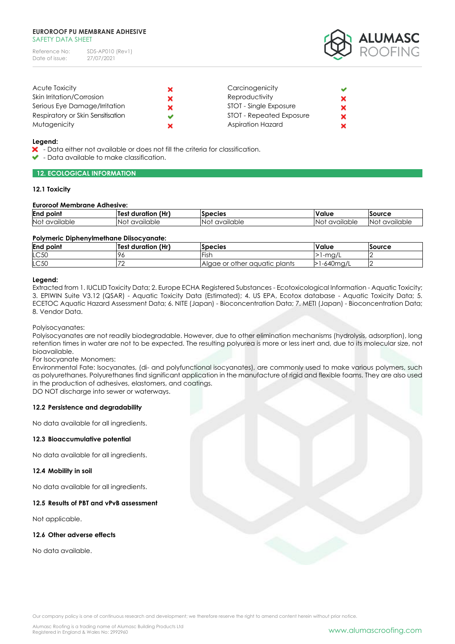| Reference No:  | SDS-AP010 (Rev1) |
|----------------|------------------|
| Date of issue: | 27/07/2021       |



| <b>Acute Toxicity</b>             | Carcinogenicity          | ✔ |
|-----------------------------------|--------------------------|---|
| Skin Irritation/Corrosion         | Reproductivity           | × |
| Serious Eye Damage/Irritation     | STOT - Single Exposure   | × |
| Respiratory or Skin Sensitisation | STOT - Repeated Exposure | × |
| Mutagenicity                      | Aspiration Hazard        | × |

### **Legend:**

- X Data either not available or does not fill the criteria for classification.
- $\bullet$  Data available to make classification.

# **12. ECOLOGICAL INFORMATION**

# **12.1 Toxicity**

# **Euroroof Membrane Adhesive:**

| <b>End point</b> | (Hr)<br>duration<br>Test | <b>Species</b> | Value     | Source    |
|------------------|--------------------------|----------------|-----------|-----------|
| Not              | <b>No</b>                | 'No            | INot      | -Noi      |
| available        | available                | t available    | available | available |

# **Polymeric Diphenylmethane Diisocyanate:**

| <b>End point</b> | <b>Test duration (Hr)</b> | <b>Species</b>                | <b>Value</b>   | Source |
|------------------|---------------------------|-------------------------------|----------------|--------|
| LC50             |                           | $H = H^{\prime}$<br>'ISF      | <b>⊥-mg/∟</b>  |        |
| LC50             |                           | Algae or other gauatic plants | $1 - 640$ mg/L |        |

# **Legend:**

Extracted from 1. IUCLID Toxicity Data; 2. Europe ECHA Registered Substances - Ecotoxicological Information - Aquatic Toxicity; 3. EPIWIN Suite V3.12 (QSAR) - Aquatic Toxicity Data (Estimated); 4. US EPA, Ecotox database - Aquatic Toxicity Data; 5. ECETOC Aquatic Hazard Assessment Data; 6. NITE (Japan) - Bioconcentration Data; 7. METI (Japan) - Bioconcentration Data; 8. Vendor Data.

Polyisocyanates:

Polyisocyanates are not readily biodegradable. However, due to other elimination mechanisms (hydrolysis, adsorption), long retention times in water are not to be expected. The resulting polyurea is more or less inert and, due to its molecular size, not bioavailable.

For Isocyanate Monomers:

Environmental Fate: Isocyanates, (di- and polyfunctional isocyanates), are commonly used to make various polymers, such as polyurethanes. Polyurethanes find significant application in the manufacture of rigid and flexible foams. They are also used in the production of adhesives, elastomers, and coatings.

DO NOT discharge into sewer or waterways.

# **12.2 Persistence and degradability**

No data available for all ingredients.

# **12.3 Bioaccumulative potential**

No data available for all ingredients.

# **12.4 Mobility in soil**

No data available for all ingredients.

# **12.5 Results of PBT and vPvB assessment**

Not applicable.

# **12.6 Other adverse effects**

No data available.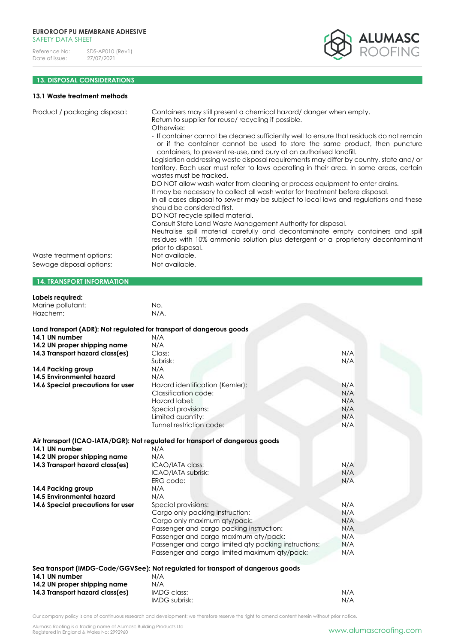

# **13. DISPOSAL CONSIDERATIONS**

# **13.1 Waste treatment methods**

| Product / packaging disposal:                                        | Containers may still present a chemical hazard/danger when empty.<br>Return to supplier for reuse/recycling if possible.<br>Otherwise:<br>- If container cannot be cleaned sufficiently well to ensure that residuals do not remain<br>containers, to prevent re-use, and bury at an authorised landfill.<br>Legislation addressing waste disposal requirements may differ by country, state and/ or<br>territory. Each user must refer to laws operating in their area. In some areas, certain<br>wastes must be tracked.<br>DO NOT allow wash water from cleaning or process equipment to enter drains.<br>It may be necessary to collect all wash water for treatment before disposal.<br>In all cases disposal to sewer may be subject to local laws and regulations and these<br>should be considered first.<br>DO NOT recycle spilled material.<br>Consult State Land Waste Management Authority for disposal.<br>Neutralise spill material carefully and decontaminate empty containers and spill<br>residues with 10% ammonia solution plus detergent or a proprietary decontaminant | or if the container cannot be used to store the same product, then puncture |
|----------------------------------------------------------------------|----------------------------------------------------------------------------------------------------------------------------------------------------------------------------------------------------------------------------------------------------------------------------------------------------------------------------------------------------------------------------------------------------------------------------------------------------------------------------------------------------------------------------------------------------------------------------------------------------------------------------------------------------------------------------------------------------------------------------------------------------------------------------------------------------------------------------------------------------------------------------------------------------------------------------------------------------------------------------------------------------------------------------------------------------------------------------------------------|-----------------------------------------------------------------------------|
| Waste treatment options:                                             | prior to disposal.<br>Not available.                                                                                                                                                                                                                                                                                                                                                                                                                                                                                                                                                                                                                                                                                                                                                                                                                                                                                                                                                                                                                                                         |                                                                             |
| Sewage disposal options:                                             | Not available.                                                                                                                                                                                                                                                                                                                                                                                                                                                                                                                                                                                                                                                                                                                                                                                                                                                                                                                                                                                                                                                                               |                                                                             |
| <b>14. TRANSPORT INFORMATION</b>                                     |                                                                                                                                                                                                                                                                                                                                                                                                                                                                                                                                                                                                                                                                                                                                                                                                                                                                                                                                                                                                                                                                                              |                                                                             |
| Labels required:                                                     |                                                                                                                                                                                                                                                                                                                                                                                                                                                                                                                                                                                                                                                                                                                                                                                                                                                                                                                                                                                                                                                                                              |                                                                             |
| Marine pollutant:                                                    | No.                                                                                                                                                                                                                                                                                                                                                                                                                                                                                                                                                                                                                                                                                                                                                                                                                                                                                                                                                                                                                                                                                          |                                                                             |
| Hazchem:                                                             | $N/A$ .                                                                                                                                                                                                                                                                                                                                                                                                                                                                                                                                                                                                                                                                                                                                                                                                                                                                                                                                                                                                                                                                                      |                                                                             |
| Land transport (ADR): Not regulated for transport of dangerous goods |                                                                                                                                                                                                                                                                                                                                                                                                                                                                                                                                                                                                                                                                                                                                                                                                                                                                                                                                                                                                                                                                                              |                                                                             |
| 14.1 UN number                                                       | N/A                                                                                                                                                                                                                                                                                                                                                                                                                                                                                                                                                                                                                                                                                                                                                                                                                                                                                                                                                                                                                                                                                          |                                                                             |
| 14.2 UN proper shipping name                                         | N/A                                                                                                                                                                                                                                                                                                                                                                                                                                                                                                                                                                                                                                                                                                                                                                                                                                                                                                                                                                                                                                                                                          |                                                                             |
| 14.3 Transport hazard class(es)                                      | Class:                                                                                                                                                                                                                                                                                                                                                                                                                                                                                                                                                                                                                                                                                                                                                                                                                                                                                                                                                                                                                                                                                       | N/A                                                                         |
|                                                                      | Subrisk:                                                                                                                                                                                                                                                                                                                                                                                                                                                                                                                                                                                                                                                                                                                                                                                                                                                                                                                                                                                                                                                                                     | N/A                                                                         |
| 14.4 Packing group                                                   | N/A                                                                                                                                                                                                                                                                                                                                                                                                                                                                                                                                                                                                                                                                                                                                                                                                                                                                                                                                                                                                                                                                                          |                                                                             |
| 14.5 Environmental hazard                                            | N/A                                                                                                                                                                                                                                                                                                                                                                                                                                                                                                                                                                                                                                                                                                                                                                                                                                                                                                                                                                                                                                                                                          |                                                                             |
| 14.6 Special precautions for user                                    | Hazard identification (Kemler):                                                                                                                                                                                                                                                                                                                                                                                                                                                                                                                                                                                                                                                                                                                                                                                                                                                                                                                                                                                                                                                              | N/A                                                                         |

Classification code: N/A Hazard label: N/A Special provisions: N/A<br>Limited auantity: N/A<br>N/A

Tunnel restriction code: N/A

|                              | Air transport (ICAO-IATA/DGR): Not regulated for transport of dangerous goods |
|------------------------------|-------------------------------------------------------------------------------|
| 14.1 UN number               | N/A                                                                           |
| 14.2 UN proper shipping name | N/A                                                                           |

Limited quantity:

| 14.2 UN proper shipping name      | N/A                                                                              |     |
|-----------------------------------|----------------------------------------------------------------------------------|-----|
| 14.3 Transport hazard class(es)   | ICAO/IATA class:                                                                 | N/A |
|                                   | ICAO/IATA subrisk:                                                               | N/A |
|                                   | ERG code:                                                                        | N/A |
| 14.4 Packing group                | N/A                                                                              |     |
| 14.5 Environmental hazard         | N/A                                                                              |     |
| 14.6 Special precautions for user | Special provisions:                                                              | N/A |
|                                   | Cargo only packing instruction:                                                  | N/A |
|                                   | Cargo only maximum qty/pack:                                                     | N/A |
|                                   | Passenger and cargo packing instruction:                                         | N/A |
|                                   | Passenger and cargo maximum qty/pack:                                            | N/A |
|                                   | Passenger and cargo limited aty packing instructions:                            | N/A |
|                                   | Passenger and cargo limited maximum aty/pack:                                    | N/A |
|                                   | Sea transport (IMDG-Code/GGVSee): Not regulated for transport of dangerous goods |     |
| 14.1 UN number                    | N/A                                                                              |     |
| 14.2 UN proper shipping name      | N/A                                                                              |     |
| 14.3 Transport hazard class(es)   | IMDG class:                                                                      | N/A |
|                                   | IMDG subrisk:                                                                    | N/A |
|                                   |                                                                                  |     |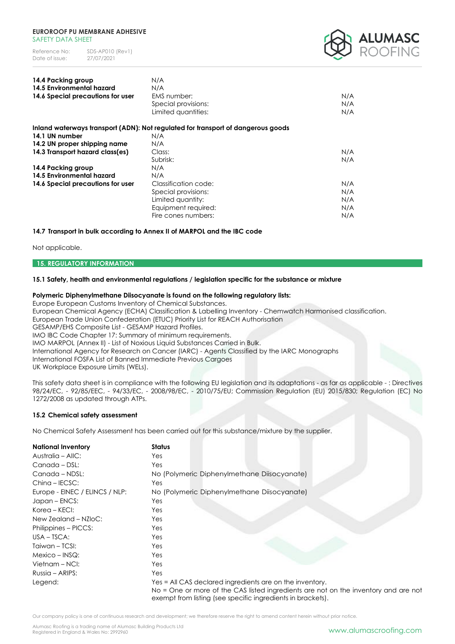

| 14.4 Packing group                | N/A                                                                              |     |
|-----------------------------------|----------------------------------------------------------------------------------|-----|
| <b>14.5 Environmental hazard</b>  | N/A                                                                              |     |
| 14.6 Special precautions for user | EMS number:                                                                      | N/A |
|                                   | Special provisions:                                                              | N/A |
|                                   | Limited quantities:                                                              | N/A |
|                                   | Inland waterways transport (ADN): Not regulated for transport of dangerous goods |     |
| 14.1 UN number                    | N/A                                                                              |     |
| 14.2 UN proper shipping name      | N/A                                                                              |     |
| 14.3 Transport hazard class(es)   | Class:                                                                           | N/A |
|                                   | Subrisk:                                                                         | N/A |
| 14.4 Packing group                | N/A                                                                              |     |
| <b>14.5 Environmental hazard</b>  | N/A                                                                              |     |
| 14.6 Special precautions for user | Classification code:                                                             | N/A |
|                                   | Special provisions:                                                              | N/A |
|                                   | Limited quantity:                                                                | N/A |
|                                   | Equipment required:                                                              | N/A |
|                                   | Fire cones numbers:                                                              | N/A |
|                                   |                                                                                  |     |

### **14.7 Transport in bulk according to Annex II of MARPOL and the IBC code**

Not applicable.

#### **15. REGULATORY INFORMATION**

### **15.1 Safety, health and environmental regulations / legislation specific for the substance or mixture**

### **Polymeric Diphenylmethane Diisocyanate is found on the following regulatory lists:**

Europe European Customs Inventory of Chemical Substances. European Chemical Agency (ECHA) Classification & Labelling Inventory - Chemwatch Harmonised classification. European Trade Union Confederation (ETUC) Priority List for REACH Authorisation GESAMP/EHS Composite List - GESAMP Hazard Profiles. IMO IBC Code Chapter 17: Summary of minimum requirements. IMO MARPOL (Annex II) - List of Noxious Liquid Substances Carried in Bulk. International Agency for Research on Cancer (IARC) - Agents Classified by the IARC Monographs International FOSFA List of Banned Immediate Previous Cargoes UK Workplace Exposure Limits (WELs).

This safety data sheet is in compliance with the following EU legislation and its adaptations - as far as applicable - : Directives 98/24/EC, - 92/85/EEC, - 94/33/EC, - 2008/98/EC, - 2010/75/EU; Commission Regulation (EU) 2015/830; Regulation (EC) No 1272/2008 as updated through ATPs.

### **15.2 Chemical safety assessment**

No Chemical Safety Assessment has been carried out for this substance/mixture by the supplier.

| <b>National Inventory</b>      | <b>Status</b>                                                                                                                                                                                                  |
|--------------------------------|----------------------------------------------------------------------------------------------------------------------------------------------------------------------------------------------------------------|
| Australia – AllC:              | Yes:                                                                                                                                                                                                           |
| Canada - DSL:                  | Yes                                                                                                                                                                                                            |
| Canada - NDSL:                 | No (Polymeric Diphenylmethane Diisocyanate)                                                                                                                                                                    |
| Ching - IECSC:                 | Yes                                                                                                                                                                                                            |
| Europe - EINEC / ELINCS / NLP: | No (Polymeric Diphenylmethane Diisocyanate)                                                                                                                                                                    |
| Japan – ENCS:                  | Yes                                                                                                                                                                                                            |
| Korea – KECI:                  | Yes:                                                                                                                                                                                                           |
| New Zealand - NZloC:           | Yes                                                                                                                                                                                                            |
| Philippines – PICCS:           | Yes                                                                                                                                                                                                            |
| $USA - TSCA:$                  | Yes                                                                                                                                                                                                            |
| Taiwan - TCSI:                 | Yes                                                                                                                                                                                                            |
| $Mexico - INSQ:$               | Yes                                                                                                                                                                                                            |
| Vietnam – NCI:                 | Yes                                                                                                                                                                                                            |
| Russia – ARIPS:                | Yes                                                                                                                                                                                                            |
| Legend:                        | Yes = All CAS declared ingredients are on the inventory.<br>No = One or more of the CAS listed ingredients are not on the inventory and are not<br>exempt from listing (see specific ingredients in brackets). |

Our company policy is one of continuous research and development; we therefore reserve the right to amend content herein without prior notice.

Alumasc Roofing is a trading name of Alumasc Building Products Ltd